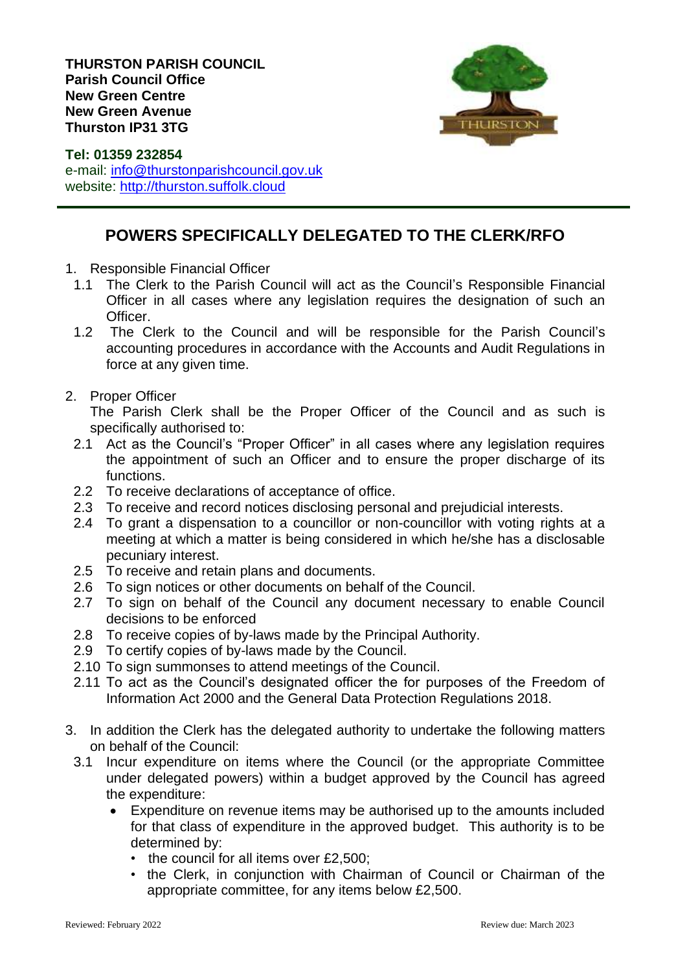

**Tel: 01359 232854** e-mail: [info@thurstonparishcouncil.gov.uk](mailto:info@thurstonparishcouncil.gov.uk) website: [http://thurston.suffolk.cloud](http://thurston.suffolk.cloud/)

## **POWERS SPECIFICALLY DELEGATED TO THE CLERK/RFO**

- 1. Responsible Financial Officer
	- 1.1 The Clerk to the Parish Council will act as the Council's Responsible Financial Officer in all cases where any legislation requires the designation of such an Officer.
	- 1.2 The Clerk to the Council and will be responsible for the Parish Council's accounting procedures in accordance with the Accounts and Audit Regulations in force at any given time.
- 2. Proper Officer

The Parish Clerk shall be the Proper Officer of the Council and as such is specifically authorised to:

- 2.1 Act as the Council's "Proper Officer" in all cases where any legislation requires the appointment of such an Officer and to ensure the proper discharge of its functions.
- 2.2 To receive declarations of acceptance of office.
- 2.3 To receive and record notices disclosing personal and prejudicial interests.
- 2.4 To grant a dispensation to a councillor or non-councillor with voting rights at a meeting at which a matter is being considered in which he/she has a disclosable pecuniary interest.
- 2.5 To receive and retain plans and documents.
- 2.6 To sign notices or other documents on behalf of the Council.
- 2.7 To sign on behalf of the Council any document necessary to enable Council decisions to be enforced
- 2.8 To receive copies of by-laws made by the Principal Authority.
- 2.9 To certify copies of by-laws made by the Council.
- 2.10 To sign summonses to attend meetings of the Council.
- 2.11 To act as the Council's designated officer the for purposes of the Freedom of Information Act 2000 and the General Data Protection Regulations 2018.
- 3. In addition the Clerk has the delegated authority to undertake the following matters on behalf of the Council:
	- 3.1 Incur expenditure on items where the Council (or the appropriate Committee under delegated powers) within a budget approved by the Council has agreed the expenditure:
		- Expenditure on revenue items may be authorised up to the amounts included for that class of expenditure in the approved budget. This authority is to be determined by:
			- the council for all items over £2,500;
			- the Clerk, in conjunction with Chairman of Council or Chairman of the appropriate committee, for any items below £2,500.